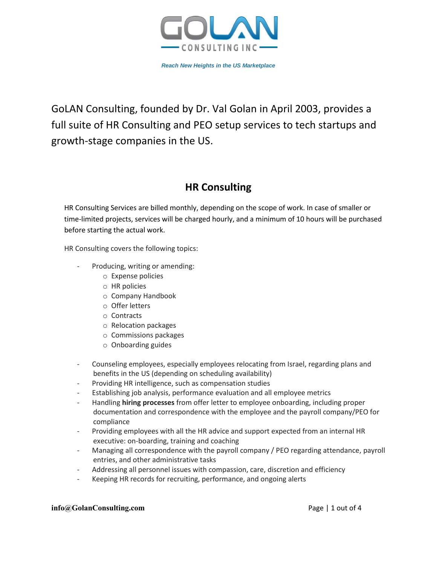

GoLAN Consulting, founded by Dr. Val Golan in April 2003, provides a full suite of HR Consulting and PEO setup services to tech startups and growth-stage companies in the US.

# **HR Consulting**

HR Consulting Services are billed monthly, depending on the scope of work. In case of smaller or time-limited projects, services will be charged hourly, and a minimum of 10 hours will be purchased before starting the actual work.

HR Consulting covers the following topics:

- Producing, writing or amending:
	- o Expense policies
	- o HR policies
	- o Company Handbook
	- o Offer letters
	- o Contracts
	- o Relocation packages
	- o Commissions packages
	- o Onboarding guides
- Counseling employees, especially employees relocating from Israel, regarding plans and benefits in the US (depending on scheduling availability)
- Providing HR intelligence, such as compensation studies
- Establishing job analysis, performance evaluation and all employee metrics
- Handling **hiring processes** from offer letter to employee onboarding, including proper documentation and correspondence with the employee and the payroll company/PEO for compliance
- Providing employees with all the HR advice and support expected from an internal HR executive: on-boarding, training and coaching
- Managing all correspondence with the payroll company / PEO regarding attendance, payroll entries, and other administrative tasks
- Addressing all personnel issues with compassion, care, discretion and efficiency
- Keeping HR records for recruiting, performance, and ongoing alerts

### **info@GolanConsulting.com** Page | 1 out of 4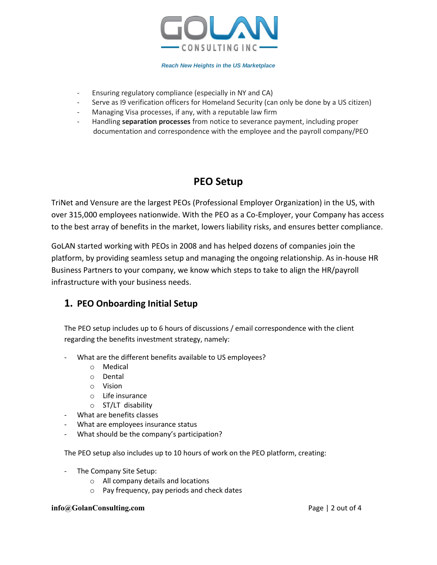

- Ensuring regulatory compliance (especially in NY and CA)
- Serve as I9 verification officers for Homeland Security (can only be done by a US citizen)
- Managing Visa processes, if any, with a reputable law firm
- Handling **separation processes** from notice to severance payment, including proper documentation and correspondence with the employee and the payroll company/PEO

# **PEO Setup**

TriNet and Vensure are the largest PEOs (Professional Employer Organization) in the US, with over 315,000 employees nationwide. With the PEO as a Co-Employer, your Company has access to the best array of benefits in the market, lowers liability risks, and ensures better compliance.

GoLAN started working with PEOs in 2008 and has helped dozens of companies join the platform, by providing seamless setup and managing the ongoing relationship. As in-house HR Business Partners to your company, we know which steps to take to align the HR/payroll infrastructure with your business needs.

## **1. PEO Onboarding Initial Setup**

The PEO setup includes up to 6 hours of discussions / email correspondence with the client regarding the benefits investment strategy, namely:

- What are the different benefits available to US employees?
	- o Medical
	- o Dental
	- o Vision
	- o Life insurance
	- o ST/LT disability
- What are benefits classes
- What are employees insurance status
- What should be the company's participation?

The PEO setup also includes up to 10 hours of work on the PEO platform, creating:

- The Company Site Setup:
	- o All company details and locations
	- o Pay frequency, pay periods and check dates

#### **info@GolanConsulting.com** Page | 2 out of 4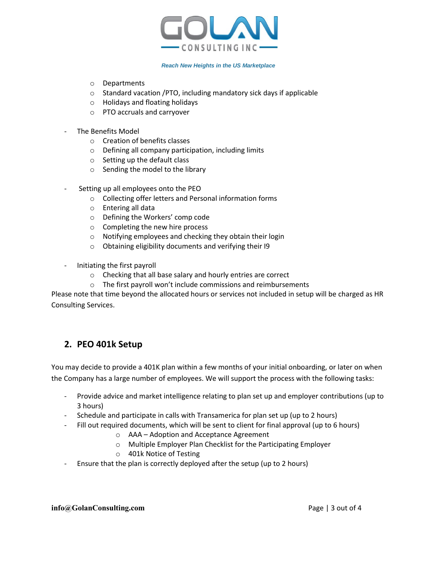

- o Departments
- o Standard vacation /PTO, including mandatory sick days if applicable
- o Holidays and floating holidays
- o PTO accruals and carryover
- The Benefits Model
	- o Creation of benefits classes
	- o Defining all company participation, including limits
	- o Setting up the default class
	- o Sending the model to the library
- Setting up all employees onto the PEO
	- o Collecting offer letters and Personal information forms
	- o Entering all data
	- o Defining the Workers' comp code
	- o Completing the new hire process
	- o Notifying employees and checking they obtain their login
	- o Obtaining eligibility documents and verifying their I9
- Initiating the first payroll
	- o Checking that all base salary and hourly entries are correct
	- o The first payroll won't include commissions and reimbursements

Please note that time beyond the allocated hours or services not included in setup will be charged as HR Consulting Services.

## **2. PEO 401k Setup**

You may decide to provide a 401K plan within a few months of your initial onboarding, or later on when the Company has a large number of employees. We will support the process with the following tasks:

- Provide advice and market intelligence relating to plan set up and employer contributions (up to 3 hours)
- Schedule and participate in calls with Transamerica for plan set up (up to 2 hours)
- Fill out required documents, which will be sent to client for final approval (up to 6 hours)
	- o AAA Adoption and Acceptance Agreement
	- o Multiple Employer Plan Checklist for the Participating Employer
	- o 401k Notice of Testing
- Ensure that the plan is correctly deployed after the setup (up to 2 hours)